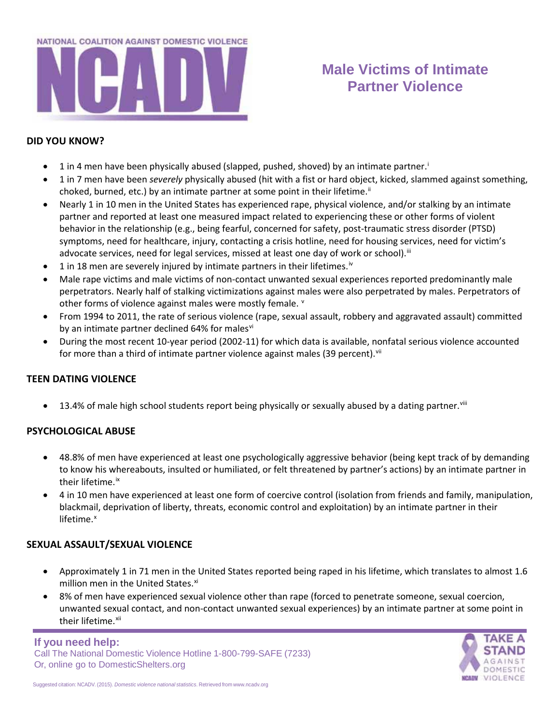

# **Male Victims of Intimate Partner Violence**

#### **DID YOU KNOW?**

- 1 [i](#page-2-0)n 4 men have been physically abused (slapped, pushed, shoved) by an intimate partner.
- 1 in 7 men have been *severely* physically abused (hit with a fist or hard object, kicked, slammed against something, choked, burned, etc.) by an intimate partner at some point in their lifetime.<sup>"</sup>
- Nearly 1 in 10 men in the United States has experienced rape, physical violence, and/or stalking by an intimate partner and reported at least one measured impact related to experiencing these or other forms of violent behavior in the relationship (e.g., being fearful, concerned for safety, post-traumatic stress disorder (PTSD) symptoms, need for healthcare, injury, contacting a crisis hotline, need for housing services, need for victim's advocate services, need for legal services, missed at least one day of work or school).<sup>[iii](#page-2-2)</sup>
- 1 in 18 men are severely injured by intimate partners in their lifetimes.<sup>[iv](#page-2-3)</sup>
- Male rape victims and male victims of non-contact unwanted sexual experiences reported predominantly male perpetrators. Nearly half of stalking victimizations against males were also perpetrated by males. Perpetrators of other forms of [v](#page-2-4)iolence against males were mostly female. <sup>v</sup>
- From 1994 to 2011, the rate of serious violence (rape, sexual assault, robbery and aggravated assault) committed by an intimate partner declined 64% for males[vi](#page-2-5)
- During the most recent 10-year period (2002-11) for which data is available, nonfatal serious violence accounted for more than a third of intimate partner violence against males (39 percent).  $V^{\text{ii}}$

### **TEEN DATING VIOLENCE**

 $\bullet$  13.4% of male high school students report being physically or sexually abused by a dating partner.<sup>[viii](#page-2-7)</sup>

### **PSYCHOLOGICAL ABUSE**

- 48.8% of men have experienced at least one psychologically aggressive behavior (being kept track of by demanding to know his whereabouts, insulted or humiliated, or felt threatened by partner's actions) by an intimate partner in their lifetime.<sup>[ix](#page-2-8)</sup>
- 4 in 10 men have experienced at least one form of coercive control (isolation from friends and family, manipulation, blackmail, deprivation of liberty, threats, economic control and exploitation) by an intimate partner in their lifetime. $x$

### **SEXUAL ASSAULT/SEXUAL VIOLENCE**

- Approximately 1 in 71 men in the United States reported being raped in his lifetime, which translates to almost 1.6 million men in the United States.<sup>[xi](#page-2-10)</sup>
- 8% of men have experienced sexual violence other than rape (forced to penetrate someone, sexual coercion, unwanted sexual contact, and non-contact unwanted sexual experiences) by an intimate partner at some point in their lifetime.<sup>xii</sup>

### **If you need help:**

Call The National Domestic Violence Hotline 1-800-799-SAFE (7233) Or, online go to DomesticShelters.org

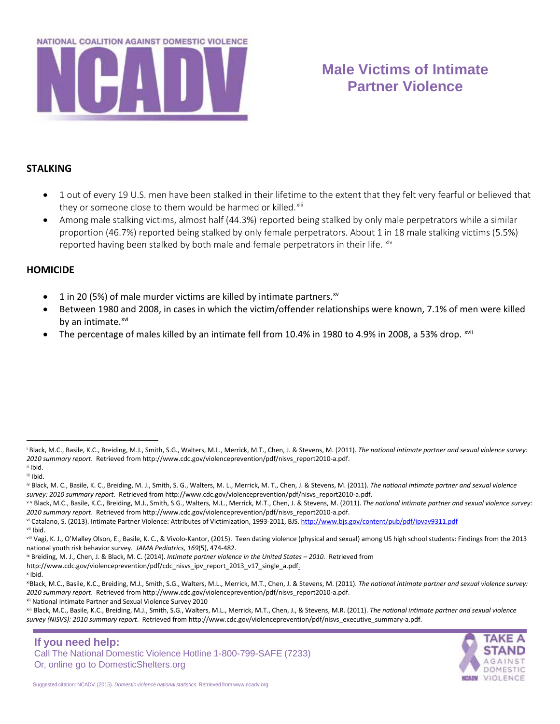

# **Male Victims of Intimate Partner Violence**

### **STALKING**

- 1 out of every 19 U.S. men have been stalked in their lifetime to the extent that they felt very fearful or believed that they or someone close to them would be harmed or killed.<sup>[xiii](#page-2-12)</sup>
- Among male stalking victims, almost half (44.3%) reported being stalked by only male perpetrators while a similar proportion (46.7%) reported being stalked by only female perpetrators. About 1 in 18 male stalking victims (5.5%) reported having been stalked by both male and female perpetrators in their life. [xiv](#page-2-13)

#### **HOMICIDE**

- 1 in 20 (5%) of male murder victims are killed by intimate partners. $^{x}$
- Between 1980 and 2008, in cases in which the victim/offender relationships were known, 7.1% of men were killed by an intimate.<sup>[xvi](#page-2-15)</sup>
- The percentage of males killed by an intimate fell from  $10.4\%$  in 1980 to 4.9% in 2008, a 53% drop.  $\frac{1}{100}$

 $\overline{a}$ 

vi Catalano, S. (2013). Intimate Partner Violence: Attributes of Victimization, 1993-2011, BJS[. http://www.bjs.gov/content/pub/pdf/ipvav9311.pdf](http://www.bjs.gov/content/pub/pdf/ipvav9311.pdf)

- ix Breiding, M. J., Chen, J. & Black, M. C. (2014). *Intimate partner violence in the United States – 2010.* Retrieved from
- http://www.cdc.gov/violenceprevention/pdf/cdc\_nisvs\_ipv\_report\_2013\_v17\_single\_a.pdf. <sup>x</sup> Ibid.

xii National Intimate Partner and Sexual Violence Survey 2010



<sup>&</sup>lt;sup>i</sup> Black, M.C., Basile, K.C., Breiding, M.J., Smith, S.G., Walters, M.L., Merrick, M.T., Chen, J. & Stevens, M. (2011). The national intimate partner and sexual violence survey: *2010 summary report*. Retrieved from [http://www.cdc.gov/violenceprevention/pdf/nisvs\\_report2010-a.pdf.](http://www.cdc.gov/violenceprevention/pdf/nisvs_report2010-a.pdf) ii Ibid.

iii Ibid.

iv Black, M. C., Basile, K. C., Breiding, M. J., Smith, S. G., Walters, M. L., Merrick, M. T., Chen, J. & Stevens, M. (2011). *The national intimate partner and sexual violence survey: 2010 summary report*. Retrieved from [http://www.cdc.gov/violenceprevention/pdf/nisvs\\_report2010-a.pdf.](http://www.cdc.gov/violenceprevention/pdf/nisvs_report2010-a.pdf)

v V Black, M.C., Basile, K.C., Breiding, M.J., Smith, S.G., Walters, M.L., Merrick, M.T., Chen, J. & Stevens, M. (2011). The national intimate partner and sexual violence survey: *2010 summary report*. Retrieved from [http://www.cdc.gov/violenceprevention/pdf/nisvs\\_report2010-a.pdf.](http://www.cdc.gov/violenceprevention/pdf/nisvs_report2010-a.pdf)

vii Ibid.

viii Vagi, K. J., O'Malley Olson, E., Basile, K. C., & Vivolo-Kantor, (2015). Teen dating violence (physical and sexual) among US high school students: Findings from the 2013 national youth risk behavior survey. *JAMA Pediatrics, 169*(5), 474-482.

xiBlack, M.C., Basile, K.C., Breiding, M.J., Smith, S.G., Walters, M.L., Merrick, M.T., Chen, J. & Stevens, M. (2011). *The national intimate partner and sexual violence survey: 2010 summary report*. Retrieved from [http://www.cdc.gov/violenceprevention/pdf/nisvs\\_report2010-a.pdf.](http://www.cdc.gov/violenceprevention/pdf/nisvs_report2010-a.pdf)

xiii Black, M.C., Basile, K.C., Breiding, M.J., Smith, S.G., Walters, M.L., Merrick, M.T., Chen, J., & Stevens, M.R. (2011). *The national intimate partner and sexual violence survey (NISVS): 2010 summary report*. Retrieved from http://www.cdc.gov/violenceprevention/pdf/nisvs\_executive\_summary-a.pdf.